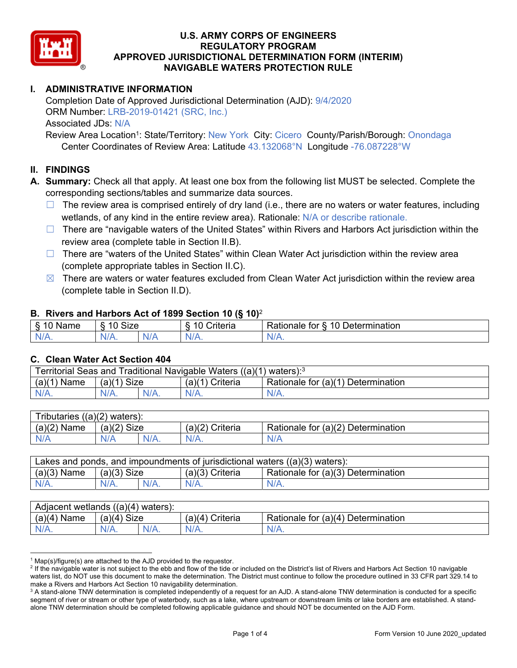

# **I. ADMINISTRATIVE INFORMATION**

Completion Date of Approved Jurisdictional Determination (AJD): 9/4/2020 ORM Number: LRB-2019-01421 (SRC, Inc.) Associated JDs: N/A

Review Area Location<sup>1</sup>: State/Territory: New York City: Cicero County/Parish/Borough: Onondaga Center Coordinates of Review Area: Latitude 43.132068°N Longitude -76.087228°W

#### **II. FINDINGS**

**A. Summary:** Check all that apply. At least one box from the following list MUST be selected. Complete the corresponding sections/tables and summarize data sources.

- $\Box$  The review area is comprised entirely of dry land (i.e., there are no waters or water features, including wetlands, of any kind in the entire review area). Rationale: N/A or describe rationale.
- $\Box$  There are "navigable waters of the United States" within Rivers and Harbors Act jurisdiction within the review area (complete table in Section II.B).
- $\Box$  There are "waters of the United States" within Clean Water Act jurisdiction within the review area (complete appropriate tables in Section II.C).
- $\boxtimes$  There are waters or water features excluded from Clean Water Act jurisdiction within the review area (complete table in Section II.D).

#### **B. Rivers and Harbors Act of 1899 Section 10 (§ 10)**<sup>2</sup>

| $\cdot$                    |                               |     |                |                                                                                                 |  |  |  |  |  |
|----------------------------|-------------------------------|-----|----------------|-------------------------------------------------------------------------------------------------|--|--|--|--|--|
| R<br>$\cdots$<br>Nai<br>ن. | <b>Size</b><br>$\overline{A}$ |     | 10<br>`rıt∆rır | $\overline{\phantom{a}}$<br>10<br>Jetermination<br>$-1 - 1 - 1$<br>tor<br>ationale <sup>7</sup> |  |  |  |  |  |
| N/I<br>.                   | N/A.                          | NIA | ALL.<br>17.    | 11 I V.                                                                                         |  |  |  |  |  |

#### **C. Clean Water Act Section 404**

| Territorial Seas and Traditional Navigable Waters $((a)(1)$ waters): <sup>3</sup> |                |  |                       |                                    |  |  |  |
|-----------------------------------------------------------------------------------|----------------|--|-----------------------|------------------------------------|--|--|--|
| (a)(1)<br>Name                                                                    | Size<br>(a)(1) |  | (a)(1)<br>') Criteria | Rationale for (a)(1) Determination |  |  |  |
| $N/A$ .                                                                           | $N/A$ .        |  | N/A.                  | $N/A$ .                            |  |  |  |

| - -<br>$( (a)(2)$ waters):<br>ributaries |                |         |                    |                                    |  |  |  |  |
|------------------------------------------|----------------|---------|--------------------|------------------------------------|--|--|--|--|
| $(a)(2)$ Name                            | (a)(2)<br>Size |         | (a)(2)<br>Criteria | Rationale for (a)(2) Determination |  |  |  |  |
| N/A                                      | N/A            | $N/A$ . | $N/A$ .            | N/A                                |  |  |  |  |

| Lakes and ponds, and impoundments of jurisdictional waters $((a)(3)$ waters): |               |  |                   |                                    |  |  |  |
|-------------------------------------------------------------------------------|---------------|--|-------------------|------------------------------------|--|--|--|
| $(a)(3)$ Name                                                                 | $(a)(3)$ Size |  | $(a)(3)$ Criteria | Rationale for (a)(3) Determination |  |  |  |
| $N/A$ .                                                                       | $N/A$ .       |  | $N/A$ .           | $N/A$ .                            |  |  |  |

| Adjacent wetlands<br>((a)(4)<br>waters). |                       |      |                   |                                    |  |  |  |
|------------------------------------------|-----------------------|------|-------------------|------------------------------------|--|--|--|
| (a)(4)<br>Name                           | <b>Size</b><br>(a)(4) |      | (a)(4<br>Criteria | Rationale for (a)(4) Determination |  |  |  |
| N/A.                                     | $N/A$ .               | N/A. | $N/A$ .           | $N/A$ .                            |  |  |  |

<sup>&</sup>lt;sup>1</sup> Map(s)/figure(s) are attached to the AJD provided to the requestor.<br><sup>2</sup> If the navigable water is not subject to the ebb and flow of the tide o

<sup>&</sup>lt;sup>2</sup> If the navigable water is not subject to the ebb and flow of the tide or included on the District's list of Rivers and Harbors Act Section 10 navigable waters list, do NOT use this document to make the determination. The District must continue to follow the procedure outlined in 33 CFR part 329.14 to make a Rivers and Harbors Act Section 10 navigability determination.

 $^3$  A stand-alone TNW determination is completed independently of a request for an AJD. A stand-alone TNW determination is conducted for a specific segment of river or stream or other type of waterbody, such as a lake, where upstream or downstream limits or lake borders are established. A standalone TNW determination should be completed following applicable guidance and should NOT be documented on the AJD Form.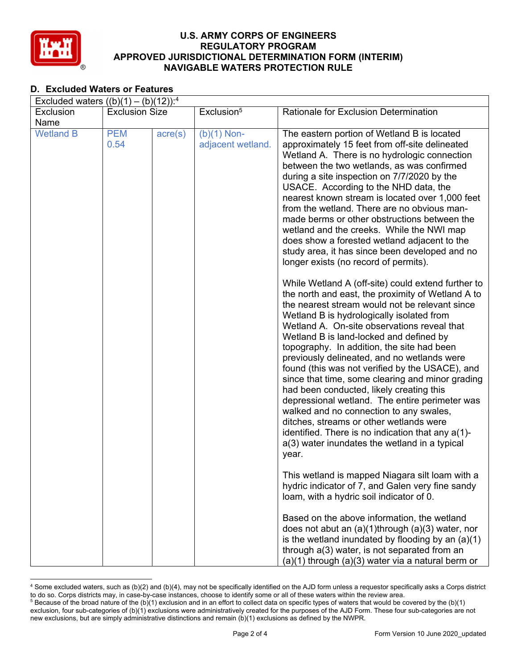

# **D. Excluded Waters or Features**

| Excluded waters $((b)(1) - (b)(12))$ : <sup>4</sup> |                       |                  |                                    |                                                                                                                                                                                                                                                                                                                                                                                                                                                                                                                                                                                                                                                                                                                                                                                                         |  |  |  |  |
|-----------------------------------------------------|-----------------------|------------------|------------------------------------|---------------------------------------------------------------------------------------------------------------------------------------------------------------------------------------------------------------------------------------------------------------------------------------------------------------------------------------------------------------------------------------------------------------------------------------------------------------------------------------------------------------------------------------------------------------------------------------------------------------------------------------------------------------------------------------------------------------------------------------------------------------------------------------------------------|--|--|--|--|
| Exclusion                                           | <b>Exclusion Size</b> |                  | Exclusion <sup>5</sup>             | <b>Rationale for Exclusion Determination</b>                                                                                                                                                                                                                                                                                                                                                                                                                                                                                                                                                                                                                                                                                                                                                            |  |  |  |  |
| Name                                                |                       |                  |                                    |                                                                                                                                                                                                                                                                                                                                                                                                                                                                                                                                                                                                                                                                                                                                                                                                         |  |  |  |  |
| <b>Wetland B</b>                                    | <b>PEM</b><br>0.54    | $\text{acre}(s)$ | $(b)(1)$ Non-<br>adjacent wetland. | The eastern portion of Wetland B is located<br>approximately 15 feet from off-site delineated<br>Wetland A. There is no hydrologic connection<br>between the two wetlands, as was confirmed<br>during a site inspection on 7/7/2020 by the<br>USACE. According to the NHD data, the<br>nearest known stream is located over 1,000 feet<br>from the wetland. There are no obvious man-<br>made berms or other obstructions between the<br>wetland and the creeks. While the NWI map<br>does show a forested wetland adjacent to the<br>study area, it has since been developed and no<br>longer exists (no record of permits).                                                                                                                                                                           |  |  |  |  |
|                                                     |                       |                  |                                    | While Wetland A (off-site) could extend further to<br>the north and east, the proximity of Wetland A to<br>the nearest stream would not be relevant since<br>Wetland B is hydrologically isolated from<br>Wetland A. On-site observations reveal that<br>Wetland B is land-locked and defined by<br>topography. In addition, the site had been<br>previously delineated, and no wetlands were<br>found (this was not verified by the USACE), and<br>since that time, some clearing and minor grading<br>had been conducted, likely creating this<br>depressional wetland. The entire perimeter was<br>walked and no connection to any swales,<br>ditches, streams or other wetlands were<br>identified. There is no indication that any a(1)-<br>a(3) water inundates the wetland in a typical<br>year. |  |  |  |  |
|                                                     |                       |                  |                                    | This wetland is mapped Niagara silt loam with a<br>hydric indicator of 7, and Galen very fine sandy<br>loam, with a hydric soil indicator of 0.                                                                                                                                                                                                                                                                                                                                                                                                                                                                                                                                                                                                                                                         |  |  |  |  |
|                                                     |                       |                  |                                    | Based on the above information, the wetland<br>does not abut an $(a)(1)$ through $(a)(3)$ water, nor<br>is the wetland inundated by flooding by an $(a)(1)$<br>through a(3) water, is not separated from an<br>$(a)(1)$ through $(a)(3)$ water via a natural berm or                                                                                                                                                                                                                                                                                                                                                                                                                                                                                                                                    |  |  |  |  |

 4 Some excluded waters, such as (b)(2) and (b)(4), may not be specifically identified on the AJD form unless a requestor specifically asks a Corps district to do so. Corps districts may, in case-by-case instances, choose to identify some or all of these waters within the review area. 5 <sup>5</sup> Because of the broad nature of the (b)(1) exclusion and in an effort to collect data on specific types of waters that would be covered by the (b)(1) exclusion, four sub-categories of (b)(1) exclusions were administratively created for the purposes of the AJD Form. These four sub-categories are not new exclusions, but are simply administrative distinctions and remain (b)(1) exclusions as defined by the NWPR.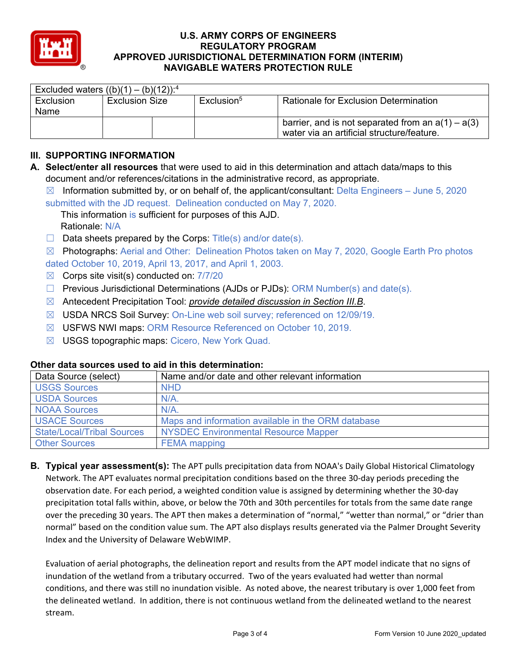

| Excluded waters $((b)(1) - (b)(12))$ : <sup>4</sup> |                       |  |                        |                                                                                                   |  |  |  |  |
|-----------------------------------------------------|-----------------------|--|------------------------|---------------------------------------------------------------------------------------------------|--|--|--|--|
| Exclusion                                           | <b>Exclusion Size</b> |  | Exclusion <sup>5</sup> | <b>Rationale for Exclusion Determination</b>                                                      |  |  |  |  |
| Name                                                |                       |  |                        |                                                                                                   |  |  |  |  |
|                                                     |                       |  |                        | barrier, and is not separated from an $a(1) - a(3)$<br>water via an artificial structure/feature. |  |  |  |  |

# **III. SUPPORTING INFORMATION**

**A. Select/enter all resources** that were used to aid in this determination and attach data/maps to this document and/or references/citations in the administrative record, as appropriate.

 $\boxtimes$  Information submitted by, or on behalf of, the applicant/consultant: Delta Engineers – June 5, 2020 submitted with the JD request. Delineation conducted on May 7, 2020.

This information is sufficient for purposes of this AJD. Rationale: N/A

 $\Box$  Data sheets prepared by the Corps: Title(s) and/or date(s).

 $\boxtimes$  Photographs: Aerial and Other: Delineation Photos taken on May 7, 2020, Google Earth Pro photos dated October 10, 2019, April 13, 2017, and April 1, 2003.

- $\boxtimes$  Corps site visit(s) conducted on:  $7/7/20$
- $\Box$  Previous Jurisdictional Determinations (AJDs or PJDs): ORM Number(s) and date(s).
- ☒ Antecedent Precipitation Tool: *provide detailed discussion in Section III.B*.
- ☒ USDA NRCS Soil Survey: On-Line web soil survey; referenced on 12/09/19.
- ☒ USFWS NWI maps: ORM Resource Referenced on October 10, 2019.
- ☒ USGS topographic maps: Cicero, New York Quad.

### **Other data sources used to aid in this determination:**

| Data Source (select)              | Name and/or date and other relevant information    |
|-----------------------------------|----------------------------------------------------|
| <b>USGS Sources</b>               | <b>NHD</b>                                         |
| <b>USDA Sources</b>               | $N/A$ .                                            |
| <b>NOAA Sources</b>               | $N/A$ .                                            |
| <b>USACE Sources</b>              | Maps and information available in the ORM database |
| <b>State/Local/Tribal Sources</b> | <b>NYSDEC Environmental Resource Mapper</b>        |
| <b>Other Sources</b>              | <b>FEMA</b> mapping                                |

**B. Typical year assessment(s):** The APT pulls precipitation data from NOAA's Daily Global Historical Climatology Network. The APT evaluates normal precipitation conditions based on the three 30‐day periods preceding the observation date. For each period, a weighted condition value is assigned by determining whether the 30‐day precipitation total falls within, above, or below the 70th and 30th percentiles for totals from the same date range over the preceding 30 years. The APT then makes a determination of "normal," "wetter than normal," or "drier than normal" based on the condition value sum. The APT also displays results generated via the Palmer Drought Severity Index and the University of Delaware WebWIMP.

Evaluation of aerial photographs, the delineation report and results from the APT model indicate that no signs of inundation of the wetland from a tributary occurred. Two of the years evaluated had wetter than normal conditions, and there was still no inundation visible. As noted above, the nearest tributary is over 1,000 feet from the delineated wetland. In addition, there is not continuous wetland from the delineated wetland to the nearest stream.